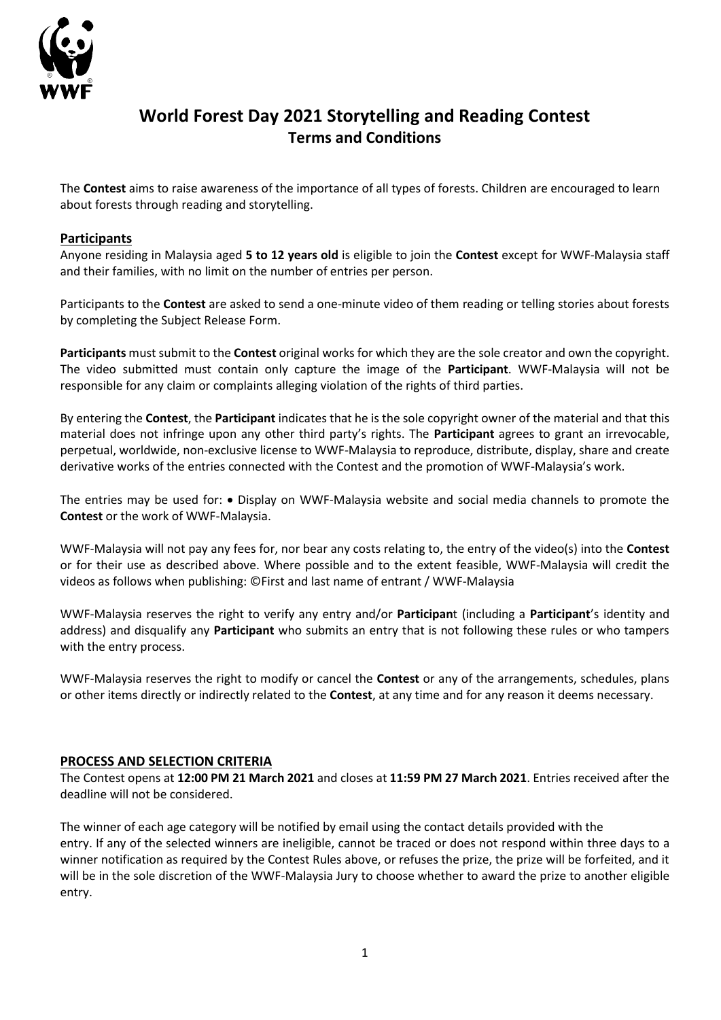

## **World Forest Day 2021 Storytelling and Reading Contest Terms and Conditions**

The **Contest** aims to raise awareness of the importance of all types of forests. Children are encouraged to learn about forests through reading and storytelling.

## **Participants**

Anyone residing in Malaysia aged **5 to 12 years old** is eligible to join the **Contest** except for WWF-Malaysia staff and their families, with no limit on the number of entries per person.

Participants to the **Contest** are asked to send a one-minute video of them reading or telling stories about forests by completing the Subject Release Form.

**Participants** must submit to the **Contest** original works for which they are the sole creator and own the copyright. The video submitted must contain only capture the image of the **Participant**. WWF-Malaysia will not be responsible for any claim or complaints alleging violation of the rights of third parties.

By entering the **Contest**, the **Participant** indicates that he is the sole copyright owner of the material and that this material does not infringe upon any other third party's rights. The **Participant** agrees to grant an irrevocable, perpetual, worldwide, non-exclusive license to WWF-Malaysia to reproduce, distribute, display, share and create derivative works of the entries connected with the Contest and the promotion of WWF-Malaysia's work.

The entries may be used for: • Display on WWF-Malaysia website and social media channels to promote the **Contest** or the work of WWF-Malaysia.

WWF-Malaysia will not pay any fees for, nor bear any costs relating to, the entry of the video(s) into the **Contest** or for their use as described above. Where possible and to the extent feasible, WWF-Malaysia will credit the videos as follows when publishing: ©First and last name of entrant / WWF-Malaysia

WWF-Malaysia reserves the right to verify any entry and/or **Participan**t (including a **Participant**'s identity and address) and disqualify any **Participant** who submits an entry that is not following these rules or who tampers with the entry process.

WWF-Malaysia reserves the right to modify or cancel the **Contest** or any of the arrangements, schedules, plans or other items directly or indirectly related to the **Contest**, at any time and for any reason it deems necessary.

## **PROCESS AND SELECTION CRITERIA**

The Contest opens at **12:00 PM 21 March 2021** and closes at **11:59 PM 27 March 2021**. Entries received after the deadline will not be considered.

The winner of each age category will be notified by email using the contact details provided with the entry. If any of the selected winners are ineligible, cannot be traced or does not respond within three days to a winner notification as required by the Contest Rules above, or refuses the prize, the prize will be forfeited, and it will be in the sole discretion of the WWF-Malaysia Jury to choose whether to award the prize to another eligible entry.